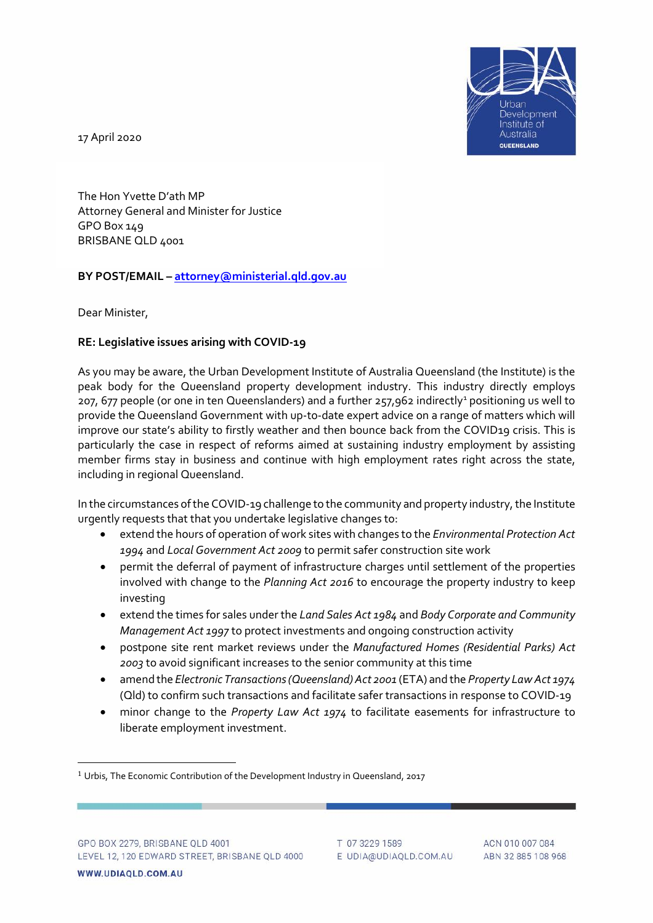

17 April 2020

The Hon Yvette D'ath MP Attorney General and Minister for Justice GPO Box 149 BRISBANE QLD 4001

# **BY POST/EMAIL – [attorney@ministerial.qld.gov.au](mailto:attorney@ministerial.qld.gov.au)**

Dear Minister,

# **RE: Legislative issues arising with COVID-19**

As you may be aware, the Urban Development Institute of Australia Queensland (the Institute) is the peak body for the Queensland property development industry. This industry directly employs 207, 677 people (or one in ten Queenslanders) and a further 257,962 indirectly<sup>[1](#page-0-0)</sup> positioning us well to provide the Queensland Government with up-to-date expert advice on a range of matters which will improve our state's ability to firstly weather and then bounce back from the COVID19 crisis. This is particularly the case in respect of reforms aimed at sustaining industry employment by assisting member firms stay in business and continue with high employment rates right across the state, including in regional Queensland.

In the circumstances of the COVID-19 challenge to the community and property industry, the Institute urgently requests that that you undertake legislative changes to:

- extend the hours of operation of work sites with changes to the *Environmental Protection Act 1994* and *Local Government Act 2009* to permit safer construction site work
- permit the deferral of payment of infrastructure charges until settlement of the properties involved with change to the *Planning Act 2016* to encourage the property industry to keep investing
- extend the times for sales under the *Land Sales Act 1984* and *Body Corporate and Community Management Act 1997* to protect investments and ongoing construction activity
- postpone site rent market reviews under the *Manufactured Homes (Residential Parks) Act 2003* to avoid significant increases to the senior community at this time
- amend the *Electronic Transactions (Queensland) Act 2001* (ETA) and the *Property Law Act 1974* (Qld) to confirm such transactions and facilitate safer transactions in response to COVID-19
- minor change to the *Property Law Act 1974* to facilitate easements for infrastructure to liberate employment investment.

<span id="page-0-0"></span><sup>&</sup>lt;sup>1</sup> Urbis, The Economic Contribution of the Development Industry in Queensland, 2017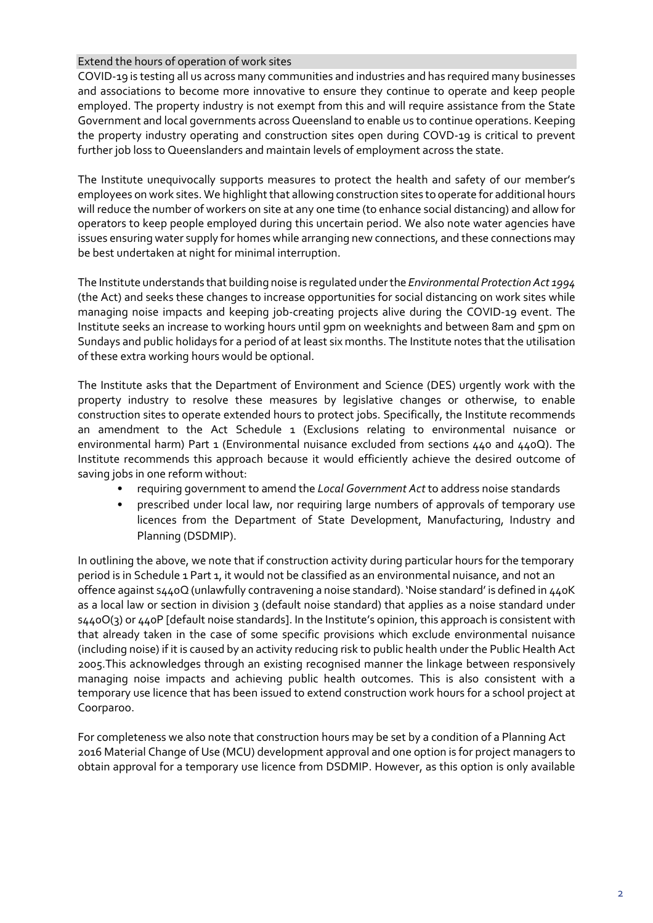# Extend the hours of operation of work sites

COVID-19 is testing all us across many communities and industries and has required many businesses and associations to become more innovative to ensure they continue to operate and keep people employed. The property industry is not exempt from this and will require assistance from the State Government and local governments across Queensland to enable us to continue operations. Keeping the property industry operating and construction sites open during COVD-19 is critical to prevent further job loss to Queenslanders and maintain levels of employment across the state.

The Institute unequivocally supports measures to protect the health and safety of our member's employees on work sites. We highlight that allowing construction sites to operate for additional hours will reduce the number of workers on site at any one time (to enhance social distancing) and allow for operators to keep people employed during this uncertain period. We also note water agencies have issues ensuring water supply for homes while arranging new connections, and these connections may be best undertaken at night for minimal interruption.

The Institute understands that building noise is regulated under the *Environmental Protection Act 1994* (the Act) and seeks these changes to increase opportunities for social distancing on work sites while managing noise impacts and keeping job-creating projects alive during the COVID-19 event. The Institute seeks an increase to working hours until 9pm on weeknights and between 8am and 5pm on Sundays and public holidays for a period of at least six months. The Institute notes that the utilisation of these extra working hours would be optional.

The Institute asks that the Department of Environment and Science (DES) urgently work with the property industry to resolve these measures by legislative changes or otherwise, to enable construction sites to operate extended hours to protect jobs. Specifically, the Institute recommends an amendment to the Act Schedule 1 (Exclusions relating to environmental nuisance or environmental harm) Part 1 (Environmental nuisance excluded from sections  $440$  and  $440Q$ ). The Institute recommends this approach because it would efficiently achieve the desired outcome of saving jobs in one reform without:

- requiring government to amend the *Local Government Act* to address noise standards
- prescribed under local law, nor requiring large numbers of approvals of temporary use licences from the Department of State Development, Manufacturing, Industry and Planning (DSDMIP).

In outlining the above, we note that if construction activity during particular hours for the temporary period is in Schedule 1 Part 1, it would not be classified as an environmental nuisance, and not an offence against s440Q (unlawfully contravening a noise standard). 'Noise standard' is defined in 440K as a local law or section in division 3 (default noise standard) that applies as a noise standard under s440O(3) or 440P [default noise standards]. In the Institute's opinion, this approach is consistent with that already taken in the case of some specific provisions which exclude environmental nuisance (including noise) if it is caused by an activity reducing risk to public health under the Public Health Act 2005.This acknowledges through an existing recognised manner the linkage between responsively managing noise impacts and achieving public health outcomes. This is also consistent with a temporary use licence that has been issued to extend construction work hours for a school project at Coorparoo.

For completeness we also note that construction hours may be set by a condition of a Planning Act 2016 Material Change of Use (MCU) development approval and one option is for project managers to obtain approval for a temporary use licence from DSDMIP. However, as this option is only available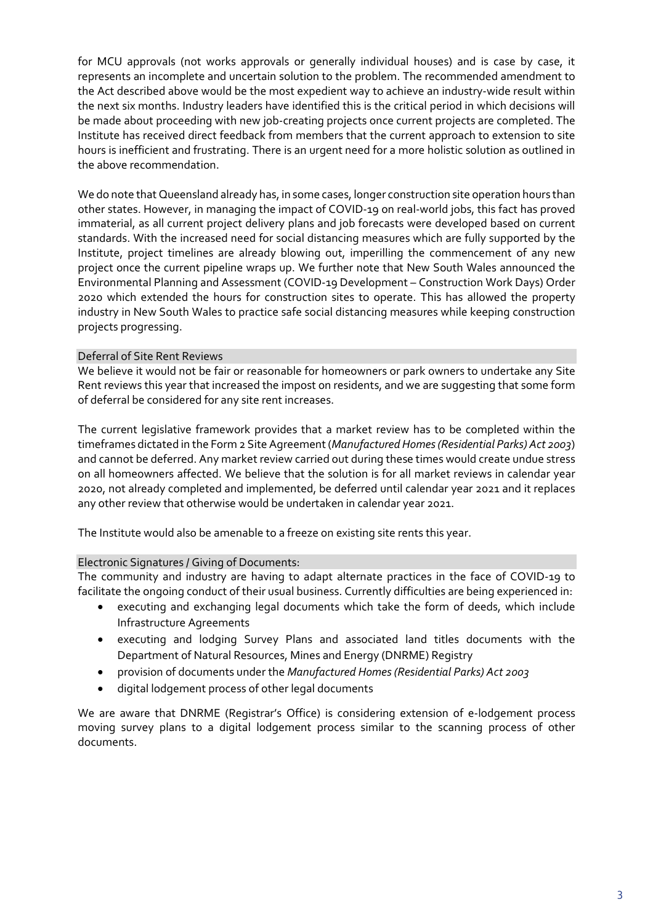for MCU approvals (not works approvals or generally individual houses) and is case by case, it represents an incomplete and uncertain solution to the problem. The recommended amendment to the Act described above would be the most expedient way to achieve an industry-wide result within the next six months. Industry leaders have identified this is the critical period in which decisions will be made about proceeding with new job-creating projects once current projects are completed. The Institute has received direct feedback from members that the current approach to extension to site hours is inefficient and frustrating. There is an urgent need for a more holistic solution as outlined in the above recommendation.

We do note that Queensland already has, in some cases, longer construction site operation hours than other states. However, in managing the impact of COVID-19 on real-world jobs, this fact has proved immaterial, as all current project delivery plans and job forecasts were developed based on current standards. With the increased need for social distancing measures which are fully supported by the Institute, project timelines are already blowing out, imperilling the commencement of any new project once the current pipeline wraps up. We further note that New South Wales announced the Environmental Planning and Assessment (COVID-19 Development – Construction Work Days) Order 2020 which extended the hours for construction sites to operate. This has allowed the property industry in New South Wales to practice safe social distancing measures while keeping construction projects progressing.

# Deferral of Site Rent Reviews

We believe it would not be fair or reasonable for homeowners or park owners to undertake any Site Rent reviews this year that increased the impost on residents, and we are suggesting that some form of deferral be considered for any site rent increases.

The current legislative framework provides that a market review has to be completed within the timeframes dictated in the Form 2 Site Agreement(*Manufactured Homes (Residential Parks) Act 2003*) and cannot be deferred. Any market review carried out during these times would create undue stress on all homeowners affected. We believe that the solution is for all market reviews in calendar year 2020, not already completed and implemented, be deferred until calendar year 2021 and it replaces any other review that otherwise would be undertaken in calendar year 2021.

The Institute would also be amenable to a freeze on existing site rents this year.

#### Electronic Signatures / Giving of Documents:

The community and industry are having to adapt alternate practices in the face of COVID-19 to facilitate the ongoing conduct of their usual business. Currently difficulties are being experienced in:

- executing and exchanging legal documents which take the form of deeds, which include Infrastructure Agreements
- executing and lodging Survey Plans and associated land titles documents with the Department of Natural Resources, Mines and Energy (DNRME) Registry
- provision of documents under the *Manufactured Homes (Residential Parks) Act 2003*
- digital lodgement process of other legal documents

We are aware that DNRME (Registrar's Office) is considering extension of e-lodgement process moving survey plans to a digital lodgement process similar to the scanning process of other documents.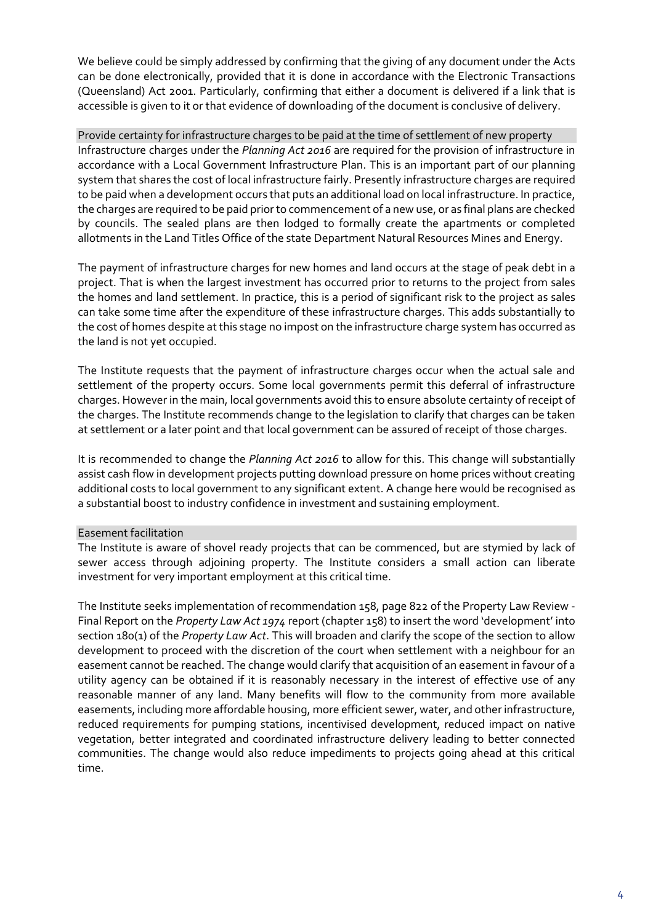We believe could be simply addressed by confirming that the giving of any document under the Acts can be done electronically, provided that it is done in accordance with the Electronic Transactions (Queensland) Act 2001. Particularly, confirming that either a document is delivered if a link that is accessible is given to it or that evidence of downloading of the document is conclusive of delivery.

Provide certainty for infrastructure charges to be paid at the time of settlement of new property Infrastructure charges under the *Planning Act 2016* are required for the provision of infrastructure in accordance with a Local Government Infrastructure Plan. This is an important part of our planning system that shares the cost of local infrastructure fairly. Presently infrastructure charges are required to be paid when a development occurs that puts an additional load on local infrastructure. In practice, the charges are required to be paid prior to commencement of a new use, or as final plans are checked by councils. The sealed plans are then lodged to formally create the apartments or completed allotments in the Land Titles Office of the state Department Natural Resources Mines and Energy.

The payment of infrastructure charges for new homes and land occurs at the stage of peak debt in a project. That is when the largest investment has occurred prior to returns to the project from sales the homes and land settlement. In practice, this is a period of significant risk to the project as sales can take some time after the expenditure of these infrastructure charges. This adds substantially to the cost of homes despite at this stage no impost on the infrastructure charge system has occurred as the land is not yet occupied.

The Institute requests that the payment of infrastructure charges occur when the actual sale and settlement of the property occurs. Some local governments permit this deferral of infrastructure charges. However in the main, local governments avoid this to ensure absolute certainty of receipt of the charges. The Institute recommends change to the legislation to clarify that charges can be taken at settlement or a later point and that local government can be assured of receipt of those charges.

It is recommended to change the *Planning Act 2016* to allow for this. This change will substantially assist cash flow in development projects putting download pressure on home prices without creating additional costs to local government to any significant extent. A change here would be recognised as a substantial boost to industry confidence in investment and sustaining employment.

# Easement facilitation

The Institute is aware of shovel ready projects that can be commenced, but are stymied by lack of sewer access through adjoining property. The Institute considers a small action can liberate investment for very important employment at this critical time.

The Institute seeks implementation of recommendation 158, page 822 of the Property Law Review - Final Report on the *Property Law Act 1974* report (chapter 158) to insert the word 'development' into section 180(1) of the *Property Law Act*. This will broaden and clarify the scope of the section to allow development to proceed with the discretion of the court when settlement with a neighbour for an easement cannot be reached. The change would clarify that acquisition of an easement in favour of a utility agency can be obtained if it is reasonably necessary in the interest of effective use of any reasonable manner of any land. Many benefits will flow to the community from more available easements, including more affordable housing, more efficient sewer, water, and other infrastructure, reduced requirements for pumping stations, incentivised development, reduced impact on native vegetation, better integrated and coordinated infrastructure delivery leading to better connected communities. The change would also reduce impediments to projects going ahead at this critical time.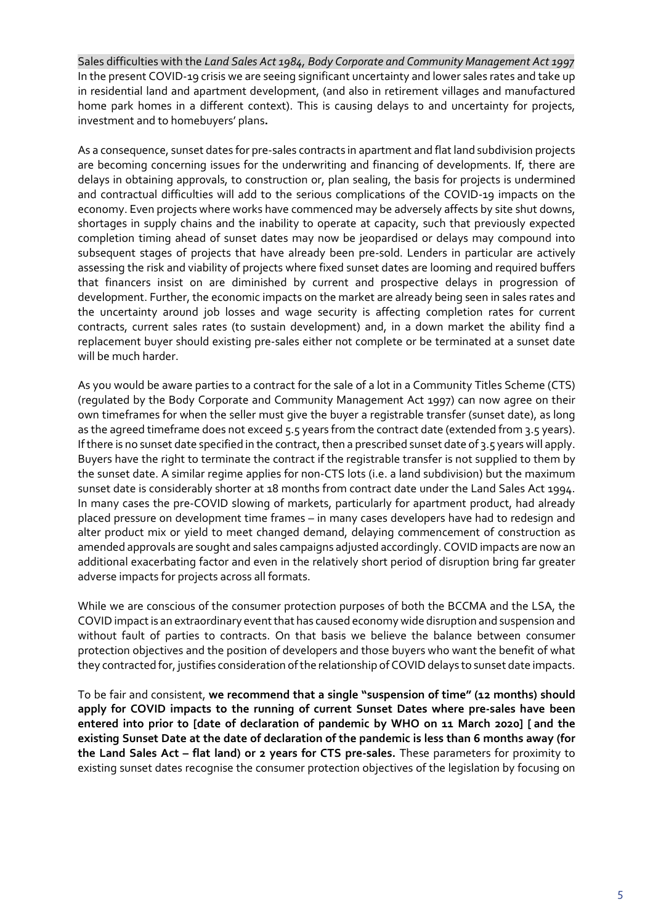Sales difficulties with the *Land Sales Act 1984, Body Corporate and Community Management Act 1997* In the present COVID-19 crisis we are seeing significant uncertainty and lower sales rates and take up in residential land and apartment development, (and also in retirement villages and manufactured home park homes in a different context). This is causing delays to and uncertainty for projects, investment and to homebuyers' plans**.**

As a consequence, sunset dates for pre-sales contracts in apartment and flat land subdivision projects are becoming concerning issues for the underwriting and financing of developments. If, there are delays in obtaining approvals, to construction or, plan sealing, the basis for projects is undermined and contractual difficulties will add to the serious complications of the COVID-19 impacts on the economy. Even projects where works have commenced may be adversely affects by site shut downs, shortages in supply chains and the inability to operate at capacity, such that previously expected completion timing ahead of sunset dates may now be jeopardised or delays may compound into subsequent stages of projects that have already been pre-sold. Lenders in particular are actively assessing the risk and viability of projects where fixed sunset dates are looming and required buffers that financers insist on are diminished by current and prospective delays in progression of development. Further, the economic impacts on the market are already being seen in sales rates and the uncertainty around job losses and wage security is affecting completion rates for current contracts, current sales rates (to sustain development) and, in a down market the ability find a replacement buyer should existing pre-sales either not complete or be terminated at a sunset date will be much harder.

As you would be aware parties to a contract for the sale of a lot in a Community Titles Scheme (CTS) (regulated by the Body Corporate and Community Management Act 1997) can now agree on their own timeframes for when the seller must give the buyer a registrable transfer (sunset date), as long as the agreed timeframe does not exceed 5.5 years from the contract date (extended from 3.5 years). If there is no sunset date specified in the contract, then a prescribed sunset date of 3.5 years will apply. Buyers have the right to terminate the contract if the registrable transfer is not supplied to them by the sunset date. A similar regime applies for non-CTS lots (i.e. a land subdivision) but the maximum sunset date is considerably shorter at 18 months from contract date under the Land Sales Act 1994. In many cases the pre-COVID slowing of markets, particularly for apartment product, had already placed pressure on development time frames – in many cases developers have had to redesign and alter product mix or yield to meet changed demand, delaying commencement of construction as amended approvals are sought and sales campaigns adjusted accordingly. COVID impacts are now an additional exacerbating factor and even in the relatively short period of disruption bring far greater adverse impacts for projects across all formats.

While we are conscious of the consumer protection purposes of both the BCCMA and the LSA, the COVID impact is an extraordinary event that has caused economy wide disruption and suspension and without fault of parties to contracts. On that basis we believe the balance between consumer protection objectives and the position of developers and those buyers who want the benefit of what they contracted for, justifies consideration of the relationship of COVID delays to sunset date impacts.

To be fair and consistent, **we recommend that a single "suspension of time" (12 months) should apply for COVID impacts to the running of current Sunset Dates where pre-sales have been entered into prior to [date of declaration of pandemic by WHO on 11 March 2020] [ and the existing Sunset Date at the date of declaration of the pandemic is less than 6 months away (for the Land Sales Act – flat land) or 2 years for CTS pre-sales.** These parameters for proximity to existing sunset dates recognise the consumer protection objectives of the legislation by focusing on